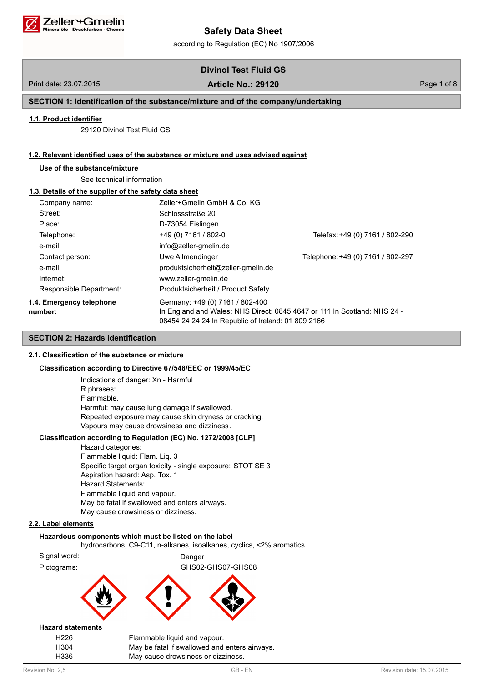

according to Regulation (EC) No 1907/2006

# **Divinol Test Fluid GS**

# Print date: 23.07.2015 Page 1 of 8 **Article No.: 29120**

# **SECTION 1: Identification of the substance/mixture and of the company/undertaking**

## **1.1. Product identifier**

29120 Divinol Test Fluid GS

## **1.2. Relevant identified uses of the substance or mixture and uses advised against**

# **Use of the substance/mixture**

See technical information

# **1.3. Details of the supplier of the safety data sheet**

| Company name:                       | Zeller+Gmelin GmbH & Co. KG                                                           |                                                                          |
|-------------------------------------|---------------------------------------------------------------------------------------|--------------------------------------------------------------------------|
| Street:                             | Schlossstraße 20                                                                      |                                                                          |
| Place:                              | D-73054 Eislingen                                                                     |                                                                          |
| Telephone:                          | +49 (0) 7161 / 802-0                                                                  | Telefax: +49 (0) 7161 / 802-290                                          |
| e-mail:                             | info@zeller-gmelin.de                                                                 |                                                                          |
| Contact person:                     | Uwe Allmendinger                                                                      | Telephone: +49 (0) 7161 / 802-297                                        |
| e-mail:                             | produktsicherheit@zeller-gmelin.de                                                    |                                                                          |
| Internet:                           | www.zeller-gmelin.de                                                                  |                                                                          |
| Responsible Department:             | Produktsicherheit / Product Safety                                                    |                                                                          |
| 1.4. Emergency telephone<br>number: | Germany: +49 (0) 7161 / 802-400<br>08454 24 24 24 In Republic of Ireland: 01 809 2166 | In England and Wales: NHS Direct: 0845 4647 or 111 In Scotland: NHS 24 - |

# **SECTION 2: Hazards identification**

# **2.1. Classification of the substance or mixture**

## **Classification according to Directive 67/548/EEC or 1999/45/EC**

Indications of danger: Xn - Harmful R phrases: Flammable. Harmful: may cause lung damage if swallowed. Repeated exposure may cause skin dryness or cracking. Vapours may cause drowsiness and dizziness.

## **Classification according to Regulation (EC) No. 1272/2008 [CLP]**

Hazard categories: Flammable liquid: Flam. Liq. 3 Specific target organ toxicity - single exposure: STOT SE 3 Aspiration hazard: Asp. Tox. 1 Hazard Statements: Flammable liquid and vapour. May be fatal if swallowed and enters airways. May cause drowsiness or dizziness.

# **2.2. Label elements**

#### **Hazardous components which must be listed on the label**

hydrocarbons, C9-C11, n-alkanes, isoalkanes, cyclics, <2% aromatics

Signal word: Danger

**Hazard statements**

Pictograms: GHS02-GHS07-GHS08

H226 Flammable liquid and vapour. H304 May be fatal if swallowed and enters airways. H336 May cause drowsiness or dizziness.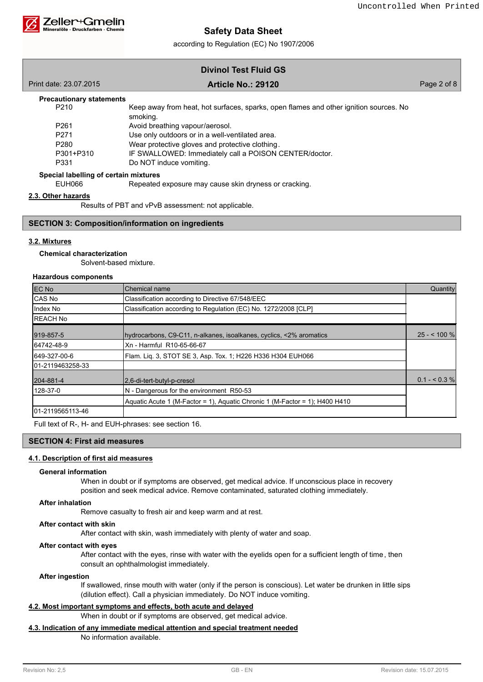

according to Regulation (EC) No 1907/2006

| <b>Divinol Test Fluid GS</b> |  |  |  |  |
|------------------------------|--|--|--|--|
|------------------------------|--|--|--|--|

| Print date: 23.07.2015                | <b>Article No.: 29120</b>                                                                         | Page 2 of 8 |
|---------------------------------------|---------------------------------------------------------------------------------------------------|-------------|
| <b>Precautionary statements</b>       |                                                                                                   |             |
| P <sub>210</sub>                      | Keep away from heat, hot surfaces, sparks, open flames and other ignition sources. No<br>smoking. |             |
| P <sub>261</sub>                      | Avoid breathing vapour/aerosol.                                                                   |             |
| P <sub>271</sub>                      | Use only outdoors or in a well-ventilated area.                                                   |             |
| P <sub>280</sub>                      | Wear protective gloves and protective clothing.                                                   |             |
| P301+P310                             | IF SWALLOWED: Immediately call a POISON CENTER/doctor.                                            |             |
| P331                                  | Do NOT induce vomiting.                                                                           |             |
| Special labelling of certain mixtures |                                                                                                   |             |

**Special labelling of certain mixtures**

EUH066 Repeated exposure may cause skin dryness or cracking.

### **2.3. Other hazards**

Results of PBT and vPvB assessment: not applicable.

## **SECTION 3: Composition/information on ingredients**

# **3.2. Mixtures**

# **Chemical characterization**

Solvent-based mixture.

# **Hazardous components**

| <b>EC No</b>      | Chemical name                                                               | Quantity      |
|-------------------|-----------------------------------------------------------------------------|---------------|
| CAS No            | Classification according to Directive 67/548/EEC                            |               |
| Index No          | Classification according to Regulation (EC) No. 1272/2008 [CLP]             |               |
| <b>IREACH No</b>  |                                                                             |               |
| 919-857-5         | Invdrocarbons, C9-C11, n-alkanes, isoalkanes, cyclics, <2% aromatics        | $25 - 100 \%$ |
| 64742-48-9        | Xn - Harmful R10-65-66-67                                                   |               |
| 649-327-00-6      | Flam. Lig. 3, STOT SE 3, Asp. Tox. 1; H226 H336 H304 EUH066                 |               |
| 101-2119463258-33 |                                                                             |               |
| 204-881-4         | 2.6-di-tert-butyl-p-cresol                                                  | $0.1 - 5.3\%$ |
| 128-37-0          | N - Dangerous for the environment R50-53                                    |               |
|                   | Aquatic Acute 1 (M-Factor = 1), Aquatic Chronic 1 (M-Factor = 1); H400 H410 |               |
| 101-2119565113-46 |                                                                             |               |

Full text of R-, H- and EUH-phrases: see section 16.

## **SECTION 4: First aid measures**

## **4.1. Description of first aid measures**

### **General information**

When in doubt or if symptoms are observed, get medical advice. If unconscious place in recovery position and seek medical advice. Remove contaminated, saturated clothing immediately.

## **After inhalation**

Remove casualty to fresh air and keep warm and at rest.

#### **After contact with skin**

After contact with skin, wash immediately with plenty of water and soap.

#### **After contact with eyes**

After contact with the eyes, rinse with water with the eyelids open for a sufficient length of time, then consult an ophthalmologist immediately.

### **After ingestion**

If swallowed, rinse mouth with water (only if the person is conscious). Let water be drunken in little sips (dilution effect). Call a physician immediately. Do NOT induce vomiting.

## **4.2. Most important symptoms and effects, both acute and delayed**

When in doubt or if symptoms are observed, get medical advice.

# **4.3. Indication of any immediate medical attention and special treatment needed**

No information available.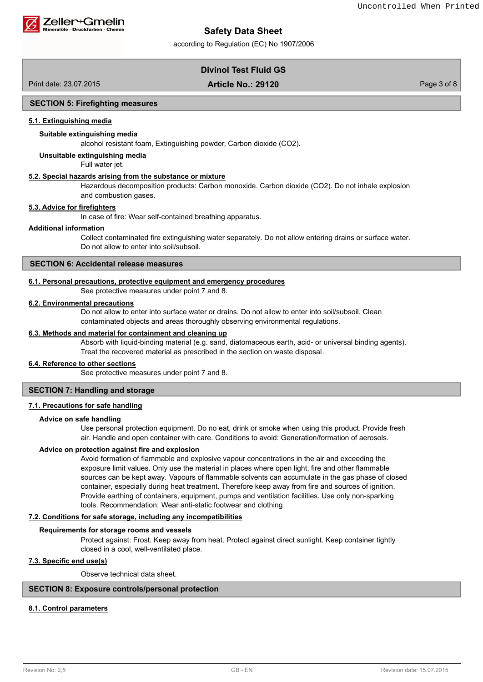

according to Regulation (EC) No 1907/2006

# **Divinol Test Fluid GS**

Print date: 23.07.2015 Page 3 of 8 **Article No.: 29120**

## **SECTION 5: Firefighting measures**

## **5.1. Extinguishing media**

### **Suitable extinguishing media**

alcohol resistant foam, Extinguishing powder, Carbon dioxide (CO2).

**Unsuitable extinguishing media**

Full water jet.

### **5.2. Special hazards arising from the substance or mixture**

Hazardous decomposition products: Carbon monoxide. Carbon dioxide (CO2). Do not inhale explosion and combustion gases.

## **5.3. Advice for firefighters**

In case of fire: Wear self-contained breathing apparatus.

#### **Additional information**

Collect contaminated fire extinguishing water separately. Do not allow entering drains or surface water. Do not allow to enter into soil/subsoil.

## **SECTION 6: Accidental release measures**

#### **6.1. Personal precautions, protective equipment and emergency procedures**

See protective measures under point 7 and 8.

# **6.2. Environmental precautions**

Do not allow to enter into surface water or drains. Do not allow to enter into soil/subsoil. Clean contaminated objects and areas thoroughly observing environmental regulations.

#### **6.3. Methods and material for containment and cleaning up**

Absorb with liquid-binding material (e.g. sand, diatomaceous earth, acid- or universal binding agents). Treat the recovered material as prescribed in the section on waste disposal .

#### **6.4. Reference to other sections**

See protective measures under point 7 and 8.

### **SECTION 7: Handling and storage**

### **7.1. Precautions for safe handling**

#### **Advice on safe handling**

Use personal protection equipment. Do no eat, drink or smoke when using this product. Provide fresh air. Handle and open container with care. Conditions to avoid: Generation/formation of aerosols.

#### **Advice on protection against fire and explosion**

Avoid formation of flammable and explosive vapour concentrations in the air and exceeding the exposure limit values. Only use the material in places where open light, fire and other flammable sources can be kept away. Vapours of flammable solvents can accumulate in the gas phase of closed container, especially during heat treatment. Therefore keep away from fire and sources of ignition. Provide earthing of containers, equipment, pumps and ventilation facilities. Use only non-sparking tools. Recommendation: Wear anti-static footwear and clothing

## **7.2. Conditions for safe storage, including any incompatibilities**

#### **Requirements for storage rooms and vessels**

Protect against: Frost. Keep away from heat. Protect against direct sunlight. Keep container tightly closed in a cool, well-ventilated place.

### **7.3. Specific end use(s)**

Observe technical data sheet.

# **SECTION 8: Exposure controls/personal protection**

### **8.1. Control parameters**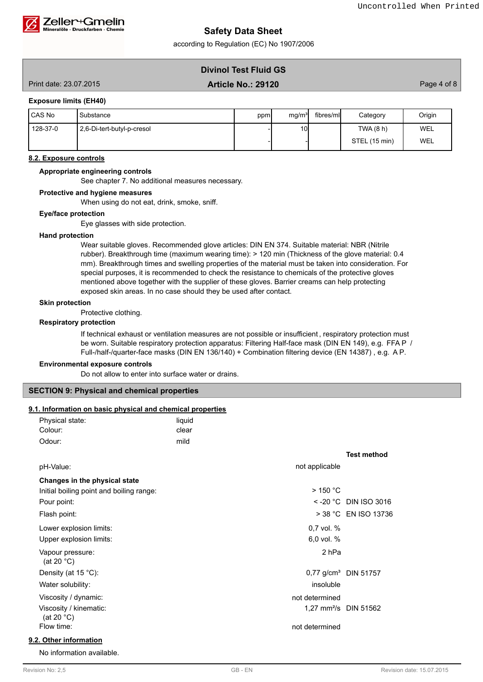

according to Regulation (EC) No 1907/2006

# **Divinol Test Fluid GS**

# Print date: 23.07.2015 Page 4 of 8 **Article No.: 29120**

### **Exposure limits (EH40)**

| I CAS No | Substance                  | ppm | mg/m <sup>3</sup> | fibres/mll | Category      | Origin |
|----------|----------------------------|-----|-------------------|------------|---------------|--------|
| 128-37-0 | 2,6-Di-tert-butyl-p-cresol |     | 10                |            | TWA(8 h)      | WEL    |
|          |                            |     |                   |            | STEL (15 min) | WEL    |

### **8.2. Exposure controls**

#### **Appropriate engineering controls**

See chapter 7. No additional measures necessary.

#### **Protective and hygiene measures**

When using do not eat, drink, smoke, sniff.

### **Eye/face protection**

Eye glasses with side protection.

### **Hand protection**

Wear suitable gloves. Recommended glove articles: DIN EN 374. Suitable material: NBR (Nitrile rubber). Breakthrough time (maximum wearing time): > 120 min (Thickness of the glove material: 0.4 mm). Breakthrough times and swelling properties of the material must be taken into consideration. For special purposes, it is recommended to check the resistance to chemicals of the protective gloves mentioned above together with the supplier of these gloves. Barrier creams can help protecting exposed skin areas. In no case should they be used after contact.

#### **Skin protection**

Protective clothing.

#### **Respiratory protection**

If technical exhaust or ventilation measures are not possible or insufficient , respiratory protection must be worn. Suitable respiratory protection apparatus: Filtering Half-face mask (DIN EN 149), e.g. FFA P / Full-/half-/quarter-face masks (DIN EN 136/140) + Combination filtering device (EN 14387) , e.g. A P.

#### **Environmental exposure controls**

Do not allow to enter into surface water or drains.

#### **SECTION 9: Physical and chemical properties**

# **9.1. Information on basic physical and chemical properties**

| J. I. IIIIOHIIAUUH OH DASIC PHYSICAI AHU CHEHIICAI PIOPERIES |        |                                   |                         |
|--------------------------------------------------------------|--------|-----------------------------------|-------------------------|
| Physical state:                                              | liquid |                                   |                         |
| Colour:                                                      | clear  |                                   |                         |
| Odour:                                                       | mild   |                                   |                         |
|                                                              |        |                                   | <b>Test method</b>      |
| pH-Value:                                                    |        | not applicable                    |                         |
| Changes in the physical state                                |        |                                   |                         |
| Initial boiling point and boiling range:                     |        | $>$ 150 °C                        |                         |
| Pour point:                                                  |        |                                   | $<$ -20 °C DIN ISO 3016 |
| Flash point:                                                 |        |                                   | > 38 °C EN ISO 13736    |
| Lower explosion limits:                                      |        | 0,7 vol. %                        |                         |
| Upper explosion limits:                                      |        | 6,0 vol. %                        |                         |
| Vapour pressure:<br>(at 20 $^{\circ}$ C)                     |        | 2 <sub>hPa</sub>                  |                         |
| Density (at 15 °C):                                          |        | 0,77 g/cm <sup>3</sup> DIN 51757  |                         |
| Water solubility:                                            |        | insoluble                         |                         |
| Viscosity / dynamic:                                         |        | not determined                    |                         |
| Viscosity / kinematic:<br>(at 20 $°C$ )                      |        | 1,27 mm <sup>2</sup> /s DIN 51562 |                         |
| Flow time:                                                   |        | not determined                    |                         |
| 9.2. Other information                                       |        |                                   |                         |

No information available.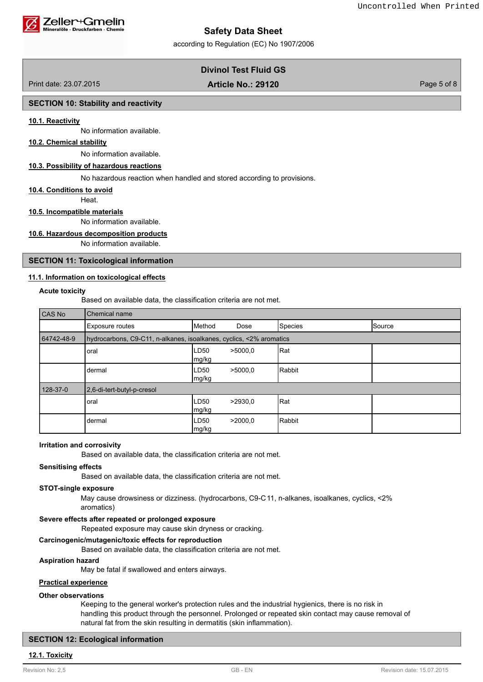

#### Zeller+Gmelin ralöle - Druckfarben - Chemie

# **Safety Data Sheet**

according to Regulation (EC) No 1907/2006

# **Divinol Test Fluid GS**

Print date: 23.07.2015 Page 5 of 8 **Article No.: 29120**

## **SECTION 10: Stability and reactivity**

### **10.1. Reactivity**

No information available.

## **10.2. Chemical stability**

No information available.

## **10.3. Possibility of hazardous reactions**

No hazardous reaction when handled and stored according to provisions.

#### **10.4. Conditions to avoid**

Heat.

#### **10.5. Incompatible materials**

No information available.

#### **10.6. Hazardous decomposition products**

No information available.

## **SECTION 11: Toxicological information**

### **11.1. Information on toxicological effects**

#### **Acute toxicity**

Based on available data, the classification criteria are not met.

| <b>CAS No</b> | Chemical name                                                       |               |         |         |               |
|---------------|---------------------------------------------------------------------|---------------|---------|---------|---------------|
|               | <b>Exposure routes</b>                                              | Method        | Dose    | Species | <b>Source</b> |
| 64742-48-9    | hydrocarbons, C9-C11, n-alkanes, isoalkanes, cyclics, <2% aromatics |               |         |         |               |
|               | oral                                                                | LD50<br>mg/kg | >5000.0 | Rat     |               |
|               | dermal                                                              | LD50<br>mg/kg | >5000.0 | Rabbit  |               |
| 128-37-0      | 2,6-di-tert-butyl-p-cresol                                          |               |         |         |               |
|               | oral                                                                | LD50<br>mg/kg | >2930.0 | Rat     |               |
|               | dermal                                                              | LD50<br>mg/kg | >2000.0 | Rabbit  |               |

#### **Irritation and corrosivity**

Based on available data, the classification criteria are not met.

#### **Sensitising effects**

Based on available data, the classification criteria are not met.

#### **STOT-single exposure**

May cause drowsiness or dizziness. (hydrocarbons, C9-C11, n-alkanes, isoalkanes, cyclics, <2% aromatics)

#### **Severe effects after repeated or prolonged exposure**

Repeated exposure may cause skin dryness or cracking.

### **Carcinogenic/mutagenic/toxic effects for reproduction**

Based on available data, the classification criteria are not met.

### **Aspiration hazard**

May be fatal if swallowed and enters airways.

### **Practical experience**

#### **Other observations**

Keeping to the general worker's protection rules and the industrial hygienics, there is no risk in handling this product through the personnel. Prolonged or repeated skin contact may cause removal of natural fat from the skin resulting in dermatitis (skin inflammation).

#### **SECTION 12: Ecological information**

# **12.1. Toxicity**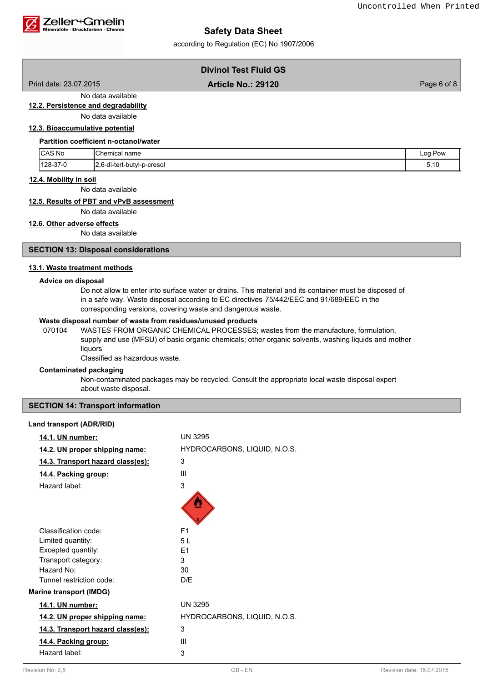

according to Regulation (EC) No 1907/2006

# **Divinol Test Fluid GS**

Print date: 23.07.2015 Page 6 of 8 **Article No.: 29120**

# **12.2. Persistence and degradability**

No data available

No data available

# **12.3. Bioaccumulative potential**

|  | <b>Partition coefficient n-octanol/water</b> |
|--|----------------------------------------------|
|  |                                              |

| <b>ICAS No</b> | Chemical name                            | Log Pow    |
|----------------|------------------------------------------|------------|
| $128-37-0$     | ∟2.6-di-tert-<br>b-cresol<br>rt-butyl-r_ | ◢<br>◡. ↓◡ |

## **12.4. Mobility in soil**

No data available

## **12.5. Results of PBT and vPvB assessment**

No data available

# **12.6. Other adverse effects**

No data available

## **SECTION 13: Disposal considerations**

### **13.1. Waste treatment methods**

#### **Advice on disposal**

Do not allow to enter into surface water or drains. This material and its container must be disposed of in a safe way. Waste disposal according to EC directives 75/442/EEC and 91/689/EEC in the corresponding versions, covering waste and dangerous waste.

## **Waste disposal number of waste from residues/unused products**

070104 WASTES FROM ORGANIC CHEMICAL PROCESSES; wastes from the manufacture, formulation, supply and use (MFSU) of basic organic chemicals; other organic solvents, washing liquids and mother liquors

Classified as hazardous waste.

#### **Contaminated packaging**

Non-contaminated packages may be recycled. Consult the appropriate local waste disposal expert about waste disposal.

## **SECTION 14: Transport information**

### **Land transport (ADR/RID)**

| 14.1. UN number:                         | <b>UN 3295</b>               |
|------------------------------------------|------------------------------|
| 14.2. UN proper shipping name:           | HYDROCARBONS, LIQUID, N.O.S. |
| <u>14.3. Transport hazard class(es):</u> | 3                            |
| 14.4. Packing group:                     | Ш                            |
| Hazard label:                            | 3                            |
|                                          |                              |
| Classification code:                     | F <sub>1</sub>               |
| Limited quantity:                        | 51                           |
| Excepted quantity:                       | F <sub>1</sub>               |
| Transport category:                      | 3                            |
| Hazard No:                               | 30                           |
| Tunnel restriction code:                 | D/F                          |
| <b>Marine transport (IMDG)</b>           |                              |
| 14.1. UN number:                         | <b>UN 3295</b>               |
| 14.2. UN proper shipping name:           | HYDROCARBONS, LIQUID, N.O.S. |
| 14.3. Transport hazard class(es):        | 3                            |
| 14.4. Packing group:                     | Ш                            |
| Hazard label:                            | 3                            |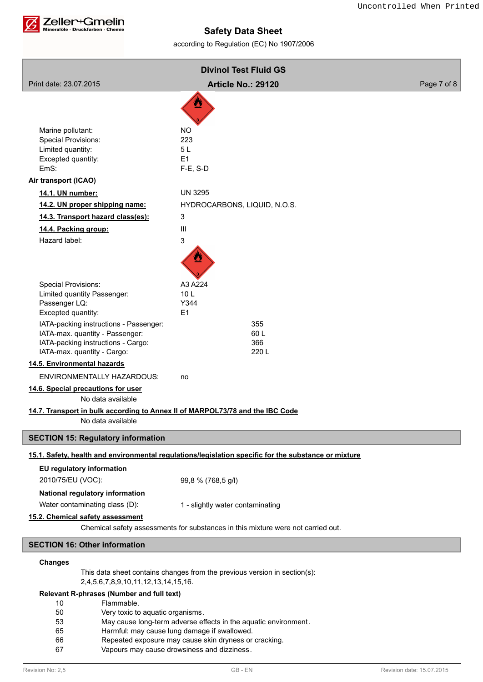

according to Regulation (EC) No 1907/2006

| <b>Divinol Test Fluid GS</b>                                                  |                                                                                                      |             |
|-------------------------------------------------------------------------------|------------------------------------------------------------------------------------------------------|-------------|
| Print date: 23.07.2015                                                        | <b>Article No.: 29120</b>                                                                            | Page 7 of 8 |
|                                                                               | W                                                                                                    |             |
|                                                                               |                                                                                                      |             |
| Marine pollutant:                                                             | <b>NO</b>                                                                                            |             |
| Special Provisions:                                                           | 223                                                                                                  |             |
| Limited quantity:                                                             | 5L                                                                                                   |             |
| Excepted quantity:<br>EmS:                                                    | E1<br>F-E, S-D                                                                                       |             |
| Air transport (ICAO)                                                          |                                                                                                      |             |
| 14.1. UN number:                                                              | <b>UN 3295</b>                                                                                       |             |
| 14.2. UN proper shipping name:                                                | HYDROCARBONS, LIQUID, N.O.S.                                                                         |             |
| 14.3. Transport hazard class(es):                                             | 3                                                                                                    |             |
| 14.4. Packing group:                                                          | III                                                                                                  |             |
| Hazard label:                                                                 | 3                                                                                                    |             |
|                                                                               |                                                                                                      |             |
|                                                                               |                                                                                                      |             |
| <b>Special Provisions:</b>                                                    | A3 A224                                                                                              |             |
| Limited quantity Passenger:                                                   | 10 <sub>L</sub>                                                                                      |             |
| Passenger LQ:<br>Excepted quantity:                                           | Y344<br>E1                                                                                           |             |
| IATA-packing instructions - Passenger:                                        | 355                                                                                                  |             |
| IATA-max. quantity - Passenger:                                               | 60L                                                                                                  |             |
| IATA-packing instructions - Cargo:                                            | 366                                                                                                  |             |
| IATA-max. quantity - Cargo:<br>14.5. Environmental hazards                    | 220 L                                                                                                |             |
| <b>ENVIRONMENTALLY HAZARDOUS:</b>                                             | no                                                                                                   |             |
| 14.6. Special precautions for user                                            |                                                                                                      |             |
| No data available                                                             |                                                                                                      |             |
| 14.7. Transport in bulk according to Annex II of MARPOL73/78 and the IBC Code |                                                                                                      |             |
| No data available                                                             |                                                                                                      |             |
| <b>SECTION 15: Regulatory information</b>                                     |                                                                                                      |             |
|                                                                               | 15.1. Safety, health and environmental regulations/legislation specific for the substance or mixture |             |
| EU regulatory information                                                     |                                                                                                      |             |
| 2010/75/EU (VOC):                                                             | 99,8 % (768,5 g/l)                                                                                   |             |
| National regulatory information                                               |                                                                                                      |             |
| Water contaminating class (D):                                                | 1 - slightly water contaminating                                                                     |             |
| 15.2. Chemical safety assessment                                              |                                                                                                      |             |
|                                                                               | Chemical safety assessments for substances in this mixture were not carried out.                     |             |
| <b>SECTION 16: Other information</b>                                          |                                                                                                      |             |
| <b>Changes</b>                                                                |                                                                                                      |             |
| 2,4,5,6,7,8,9,10,11,12,13,14,15,16.                                           | This data sheet contains changes from the previous version in section(s):                            |             |
| Relevant R-phrases (Number and full text)                                     |                                                                                                      |             |

- 10 Flammable.
- 50 Very toxic to aquatic organisms.
- 53 May cause long-term adverse effects in the aquatic environment.<br>65 Harmful: may cause lung damage if swallowed.
- Harmful: may cause lung damage if swallowed.
- 66 Repeated exposure may cause skin dryness or cracking.
- 67 Vapours may cause drowsiness and dizziness.